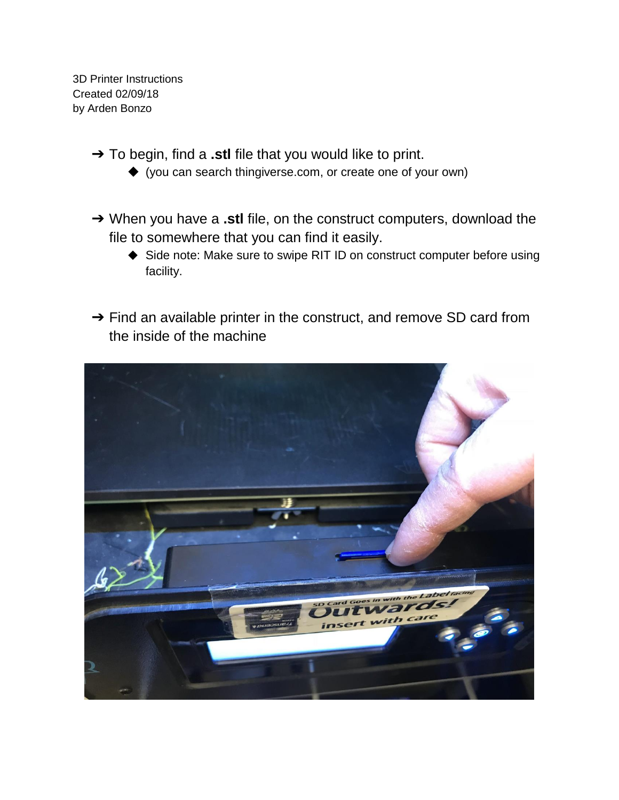3D Printer Instructions Created 02/09/18 by Arden Bonzo

- ➔ To begin, find a **.stl** file that you would like to print.
	- ◆ (you can search thingiverse.com, or create one of your own)
- ➔ When you have a **.stl** file, on the construct computers, download the file to somewhere that you can find it easily.
	- ◆ Side note: Make sure to swipe RIT ID on construct computer before using facility.
- → Find an available printer in the construct, and remove SD card from the inside of the machine

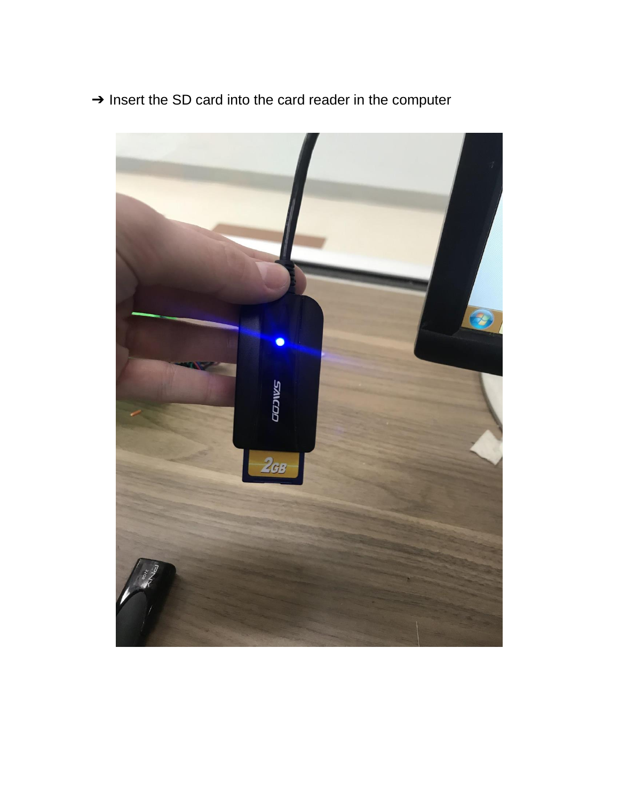

➔ Insert the SD card into the card reader in the computer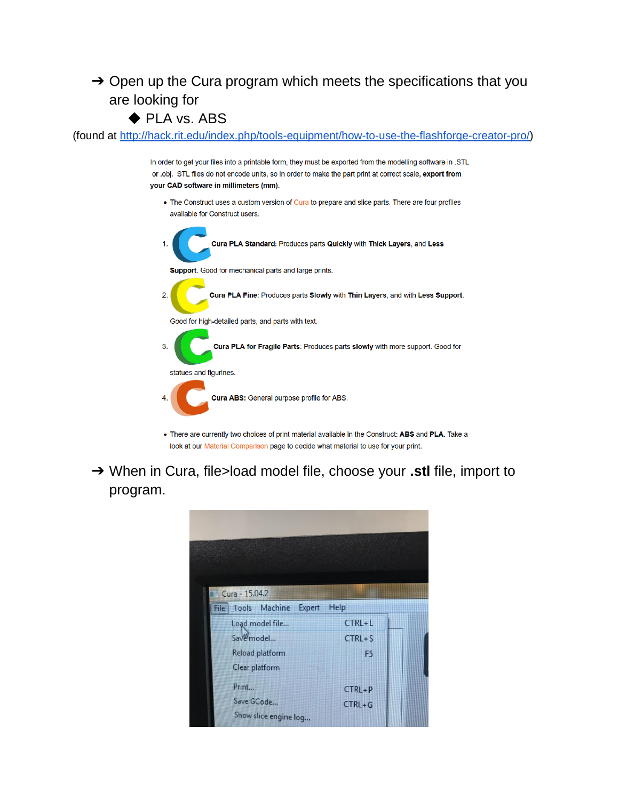## $\rightarrow$  Open up the Cura program which meets the specifications that you are looking for

## ◆ PLA vs. ABS

(found at [http://hack.rit.edu/index.php/tools-equipment/how-to-use-the-flashforge-creator-pro/\)](http://hack.rit.edu/index.php/tools-equipment/how-to-use-the-flashforge-creator-pro/)

In order to get your files into a printable form, they must be exported from the modelling software in .STL or .obj. STL files do not encode units, so in order to make the part print at correct scale, export from your CAD software in millimeters (mm).

• The Construct uses a custom version of Cura to prepare and slice parts. There are four profiles available for Construct users:



- look at our Material Comparison page to decide what material to use for your print.
- ➔ When in Cura, file>load model file, choose your **.stl** file, import to program.

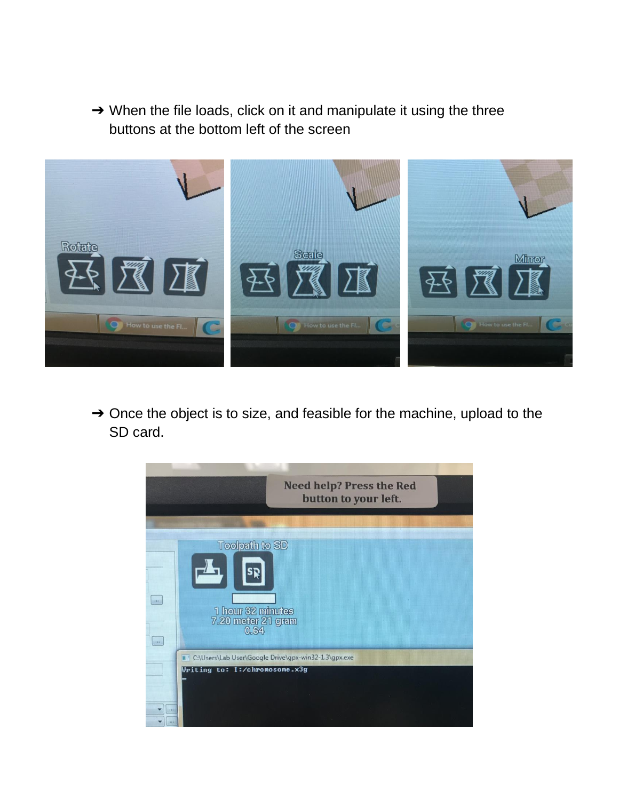→ When the file loads, click on it and manipulate it using the three buttons at the bottom left of the screen



→ Once the object is to size, and feasible for the machine, upload to the SD card.

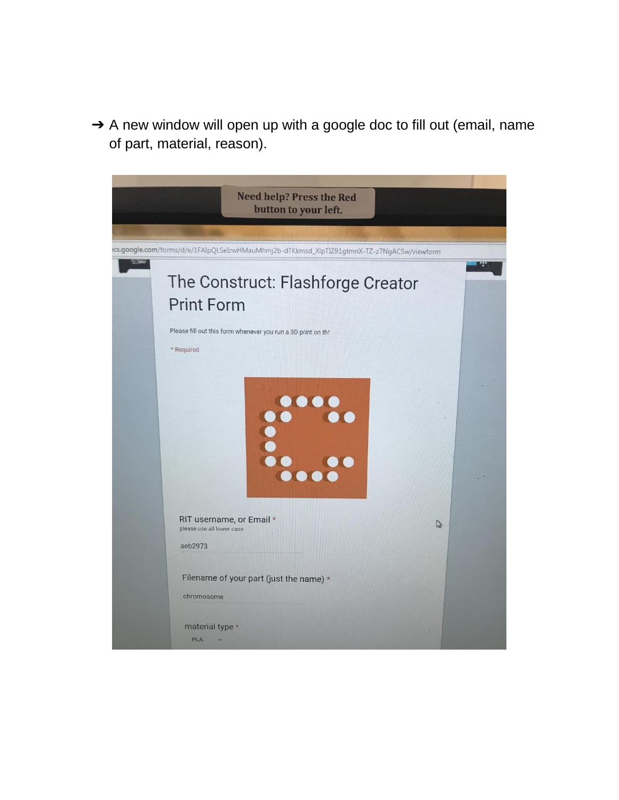→ A new window will open up with a google doc to fill out (email, name of part, material, reason).

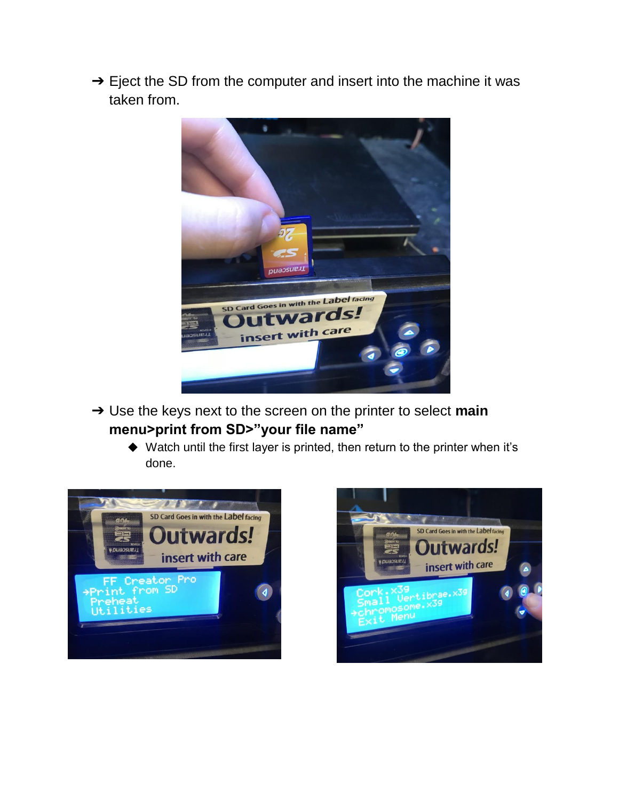→ Eject the SD from the computer and insert into the machine it was taken from.



- ➔ Use the keys next to the screen on the printer to select **main menu>print from SD>"your file name"** 
	- ◆ Watch until the first layer is printed, then return to the printer when it's done.